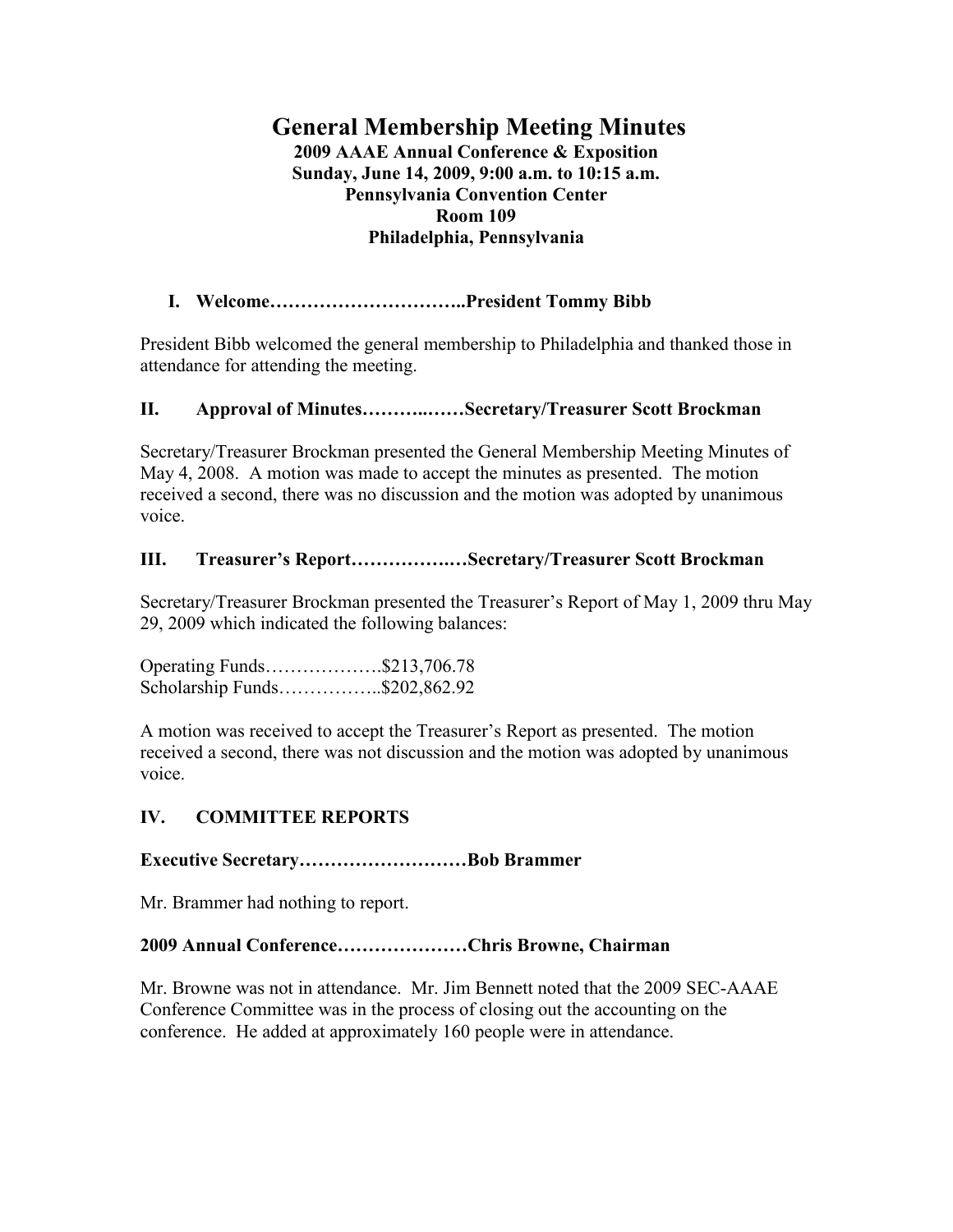# **General Membership Meeting Minutes 2009 AAAE Annual Conference & Exposition Sunday, June 14, 2009, 9:00 a.m. to 10:15 a.m. Pennsylvania Convention Center Room 109 Philadelphia, Pennsylvania**

# **I. Welcome…………………………..President Tommy Bibb**

President Bibb welcomed the general membership to Philadelphia and thanked those in attendance for attending the meeting.

## **II. Approval of Minutes………..……Secretary/Treasurer Scott Brockman**

Secretary/Treasurer Brockman presented the General Membership Meeting Minutes of May 4, 2008. A motion was made to accept the minutes as presented. The motion received a second, there was no discussion and the motion was adopted by unanimous voice.

# **III. Treasurer's Report…………….…Secretary/Treasurer Scott Brockman**

Secretary/Treasurer Brockman presented the Treasurer's Report of May 1, 2009 thru May 29, 2009 which indicated the following balances:

Operating Funds……………….\$213,706.78 Scholarship Funds……………..\$202,862.92

A motion was received to accept the Treasurer's Report as presented. The motion received a second, there was not discussion and the motion was adopted by unanimous voice.

## **IV. COMMITTEE REPORTS**

## **Executive Secretary………………………Bob Brammer**

Mr. Brammer had nothing to report.

## **2009 Annual Conference…………………Chris Browne, Chairman**

Mr. Browne was not in attendance. Mr. Jim Bennett noted that the 2009 SEC-AAAE Conference Committee was in the process of closing out the accounting on the conference. He added at approximately 160 people were in attendance.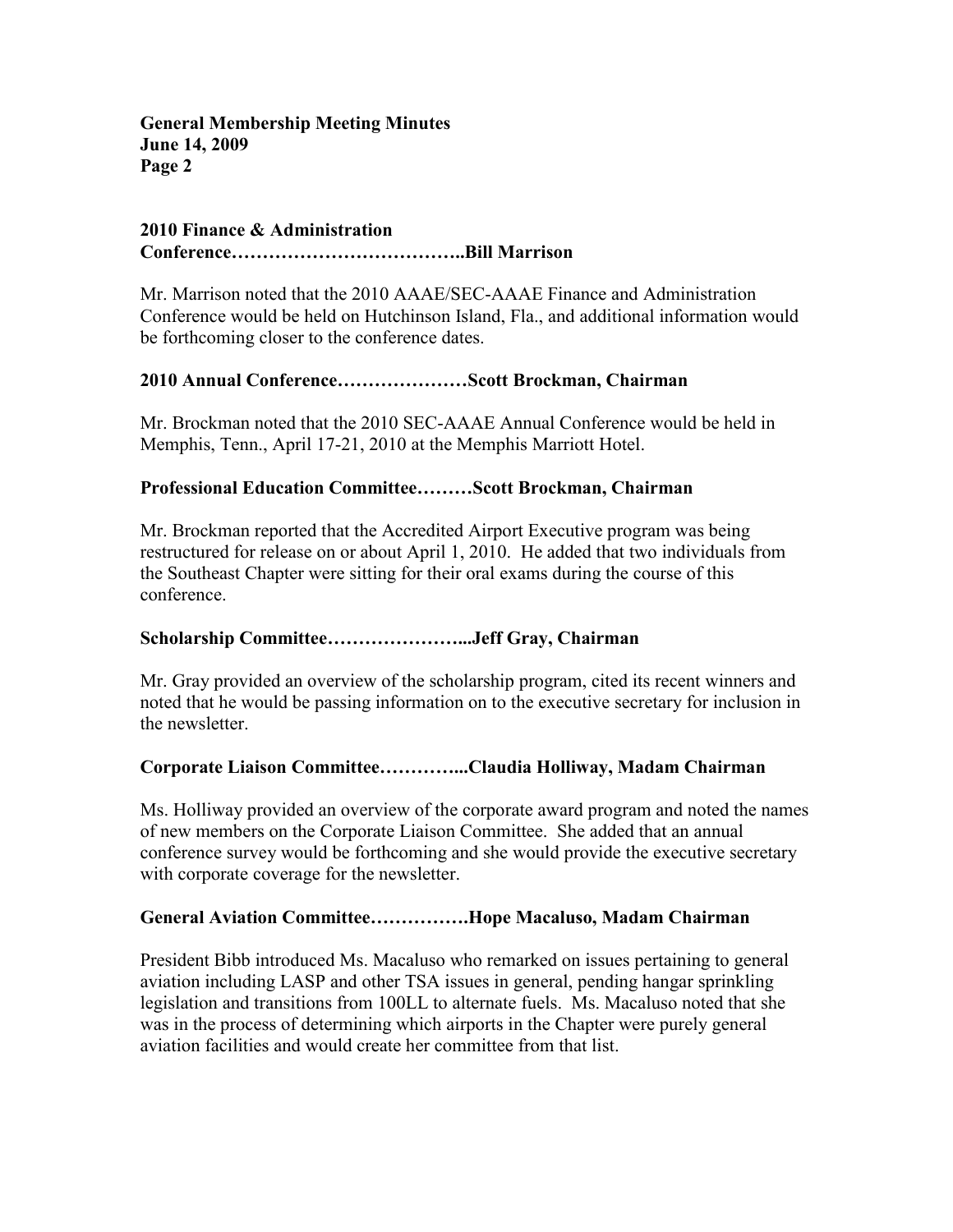**General Membership Meeting Minutes June 14, 2009 Page 2** 

#### **2010 Finance & Administration Conference………………………………..Bill Marrison**

Mr. Marrison noted that the 2010 AAAE/SEC-AAAE Finance and Administration Conference would be held on Hutchinson Island, Fla., and additional information would be forthcoming closer to the conference dates.

## **2010 Annual Conference…………………Scott Brockman, Chairman**

Mr. Brockman noted that the 2010 SEC-AAAE Annual Conference would be held in Memphis, Tenn., April 17-21, 2010 at the Memphis Marriott Hotel.

## **Professional Education Committee………Scott Brockman, Chairman**

Mr. Brockman reported that the Accredited Airport Executive program was being restructured for release on or about April 1, 2010. He added that two individuals from the Southeast Chapter were sitting for their oral exams during the course of this conference.

## **Scholarship Committee…………………...Jeff Gray, Chairman**

Mr. Gray provided an overview of the scholarship program, cited its recent winners and noted that he would be passing information on to the executive secretary for inclusion in the newsletter.

## **Corporate Liaison Committee…………...Claudia Holliway, Madam Chairman**

Ms. Holliway provided an overview of the corporate award program and noted the names of new members on the Corporate Liaison Committee. She added that an annual conference survey would be forthcoming and she would provide the executive secretary with corporate coverage for the newsletter.

## **General Aviation Committee…………….Hope Macaluso, Madam Chairman**

President Bibb introduced Ms. Macaluso who remarked on issues pertaining to general aviation including LASP and other TSA issues in general, pending hangar sprinkling legislation and transitions from 100LL to alternate fuels. Ms. Macaluso noted that she was in the process of determining which airports in the Chapter were purely general aviation facilities and would create her committee from that list.